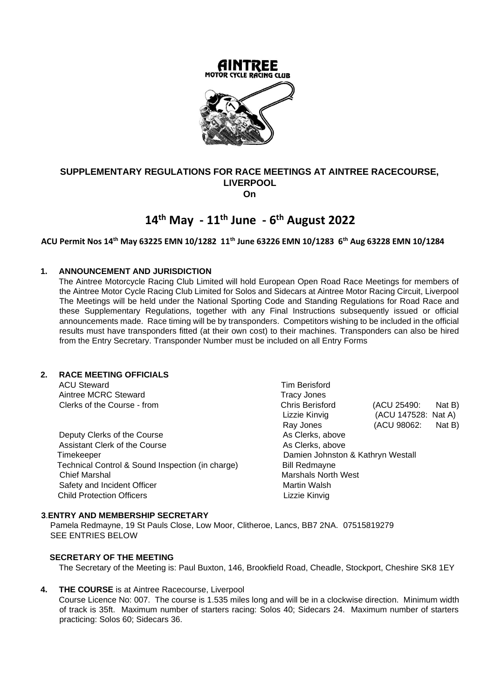

## **SUPPLEMENTARY REGULATIONS FOR RACE MEETINGS AT AINTREE RACECOURSE, LIVERPOOL On**

# **14th May - 11th June - 6 th August 2022**

## **ACU Permit Nos 14th May 63225 EMN 10/1282 11th June 63226 EMN 10/1283 6th Aug 63228 EMN 10/1284**

## **1. ANNOUNCEMENT AND JURISDICTION**

The Aintree Motorcycle Racing Club Limited will hold European Open Road Race Meetings for members of the Aintree Motor Cycle Racing Club Limited for Solos and Sidecars at Aintree Motor Racing Circuit, Liverpool The Meetings will be held under the National Sporting Code and Standing Regulations for Road Race and these Supplementary Regulations, together with any Final Instructions subsequently issued or official announcements made. Race timing will be by transponders. Competitors wishing to be included in the official results must have transponders fitted (at their own cost) to their machines. Transponders can also be hired from the Entry Secretary. Transponder Number must be included on all Entry Forms

## **2. RACE MEETING OFFICIALS**

ACU Steward **Tim Berisford Tim Berisford** Aintree MCRC Steward **Tracy Jones** 

Deputy Clerks of the Course As Clerks, above Assistant Clerk of the Course Assistant Clerks, above Timekeeper Damien Johnston & Kathryn Westall Technical Control & Sound Inspection (in charge) Bill Redmayne Chief Marshal **Marshals North West** Chief Marshals North West Safety and Incident Officer Martin Walsh Child Protection Officers **Lizzie Kinvig** 

Clerks of the Course - from Chris Berisford (ACU 25490: Nat B) Lizzie Kinvig (ACU 147528: Nat A) Ray Jones (ACU 98062: Nat B)

#### **3**.**ENTRY AND MEMBERSHIP SECRETARY**

 Pamela Redmayne, 19 St Pauls Close, Low Moor, Clitheroe, Lancs, BB7 2NA. 07515819279 SEE ENTRIES BELOW

## **SECRETARY OF THE MEETING**

The Secretary of the Meeting is: Paul Buxton, 146, Brookfield Road, Cheadle, Stockport, Cheshire SK8 1EY

**4. THE COURSE** is at Aintree Racecourse, Liverpool

Course Licence No: 007. The course is 1.535 miles long and will be in a clockwise direction. Minimum width of track is 35ft. Maximum number of starters racing: Solos 40; Sidecars 24. Maximum number of starters practicing: Solos 60; Sidecars 36.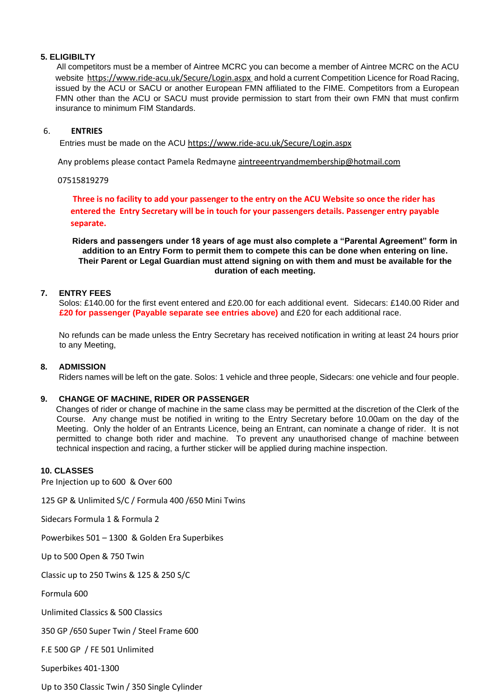## **5. ELIGIBILTY**

All competitors must be a member of Aintree MCRC you can become a member of Aintree MCRC on the ACU website <https://www.ride-acu.uk/Secure/Login.aspx> and hold a current Competition Licence for Road Racing, issued by the ACU or SACU or another European FMN affiliated to the FIME. Competitors from a European FMN other than the ACU or SACU must provide permission to start from their own FMN that must confirm insurance to minimum FIM Standards.

## 6. **ENTRIES**

Entries must be made on the ACU <https://www.ride-acu.uk/Secure/Login.aspx>

Any problems please contact Pamela Redmayn[e aintreeentryandmembership@hotmail.com](mailto:aintreeentryandmembership@hotmail.com)

#### 07515819279

**Three is no facility to add your passenger to the entry on the ACU Website so once the rider has entered the Entry Secretary will be in touch for your passengers details. Passenger entry payable separate.**

**Riders and passengers under 18 years of age must also complete a "Parental Agreement" form in addition to an Entry Form to permit them to compete this can be done when entering on line. Their Parent or Legal Guardian must attend signing on with them and must be available for the duration of each meeting.** 

## **7. ENTRY FEES**

Solos: £140.00 for the first event entered and £20.00 for each additional event. Sidecars: £140.00 Rider and **£20 for passenger (Payable separate see entries above)** and £20 for each additional race.

No refunds can be made unless the Entry Secretary has received notification in writing at least 24 hours prior to any Meeting,

#### **8. ADMISSION**

Riders names will be left on the gate. Solos: 1 vehicle and three people, Sidecars: one vehicle and four people.

## **9. CHANGE OF MACHINE, RIDER OR PASSENGER**

Changes of rider or change of machine in the same class may be permitted at the discretion of the Clerk of the Course. Any change must be notified in writing to the Entry Secretary before 10.00am on the day of the Meeting. Only the holder of an Entrants Licence, being an Entrant, can nominate a change of rider. It is not permitted to change both rider and machine. To prevent any unauthorised change of machine between technical inspection and racing, a further sticker will be applied during machine inspection.

#### **10. CLASSES**

Pre Injection up to 600 & Over 600

125 GP & Unlimited S/C / Formula 400 /650 Mini Twins

Sidecars Formula 1 & Formula 2

Powerbikes 501 – 1300 & Golden Era Superbikes

Up to 500 Open & 750 Twin

Classic up to 250 Twins & 125 & 250 S/C

Formula 600

Unlimited Classics & 500 Classics

350 GP /650 Super Twin / Steel Frame 600

F.E 500 GP / FE 501 Unlimited

Superbikes 401-1300

Up to 350 Classic Twin / 350 Single Cylinder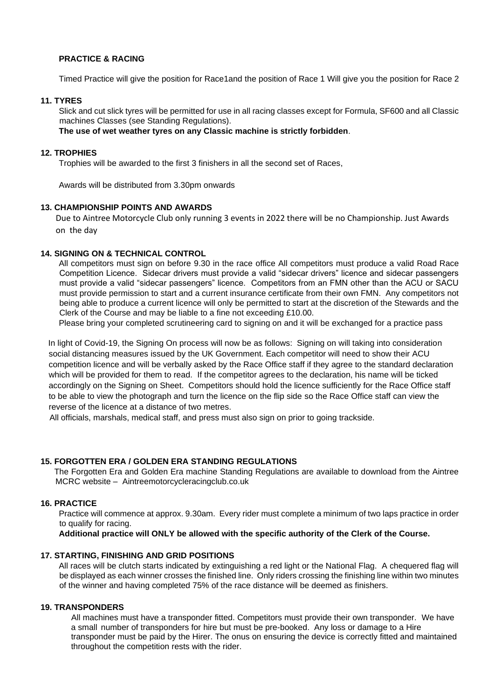## **PRACTICE & RACING**

Timed Practice will give the position for Race1and the position of Race 1 Will give you the position for Race 2

#### **11. TYRES**

Slick and cut slick tyres will be permitted for use in all racing classes except for Formula, SF600 and all Classic machines Classes (see Standing Regulations).

**The use of wet weather tyres on any Classic machine is strictly forbidden**.

## **12. TROPHIES**

Trophies will be awarded to the first 3 finishers in all the second set of Races,

Awards will be distributed from 3.30pm onwards

## **13. CHAMPIONSHIP POINTS AND AWARDS**

Due to Aintree Motorcycle Club only running 3 events in 2022 there will be no Championship. Just Awards on the day

#### **14. SIGNING ON & TECHNICAL CONTROL**

All competitors must sign on before 9.30 in the race office All competitors must produce a valid Road Race Competition Licence. Sidecar drivers must provide a valid "sidecar drivers" licence and sidecar passengers must provide a valid "sidecar passengers" licence. Competitors from an FMN other than the ACU or SACU must provide permission to start and a current insurance certificate from their own FMN. Any competitors not being able to produce a current licence will only be permitted to start at the discretion of the Stewards and the Clerk of the Course and may be liable to a fine not exceeding £10.00.

Please bring your completed scrutineering card to signing on and it will be exchanged for a practice pass

In light of Covid-19, the Signing On process will now be as follows: Signing on will taking into consideration social distancing measures issued by the UK Government. Each competitor will need to show their ACU competition licence and will be verbally asked by the Race Office staff if they agree to the standard declaration which will be provided for them to read. If the competitor agrees to the declaration, his name will be ticked accordingly on the Signing on Sheet. Competitors should hold the licence sufficiently for the Race Office staff to be able to view the photograph and turn the licence on the flip side so the Race Office staff can view the reverse of the licence at a distance of two metres.

All officials, marshals, medical staff, and press must also sign on prior to going trackside.

## **15. FORGOTTEN ERA / GOLDEN ERA STANDING REGULATIONS**

The Forgotten Era and Golden Era machine Standing Regulations are available to download from the Aintree MCRC website – Aintreemotorcycleracingclub.co.uk

#### **16. PRACTICE**

Practice will commence at approx. 9.30am. Every rider must complete a minimum of two laps practice in order to qualify for racing.

**Additional practice will ONLY be allowed with the specific authority of the Clerk of the Course.** 

## **17. STARTING, FINISHING AND GRID POSITIONS**

All races will be clutch starts indicated by extinguishing a red light or the National Flag. A chequered flag will be displayed as each winner crosses the finished line. Only riders crossing the finishing line within two minutes of the winner and having completed 75% of the race distance will be deemed as finishers.

## **19. TRANSPONDERS**

All machines must have a transponder fitted. Competitors must provide their own transponder. We have a small number of transponders for hire but must be pre-booked. Any loss or damage to a Hire transponder must be paid by the Hirer. The onus on ensuring the device is correctly fitted and maintained throughout the competition rests with the rider.